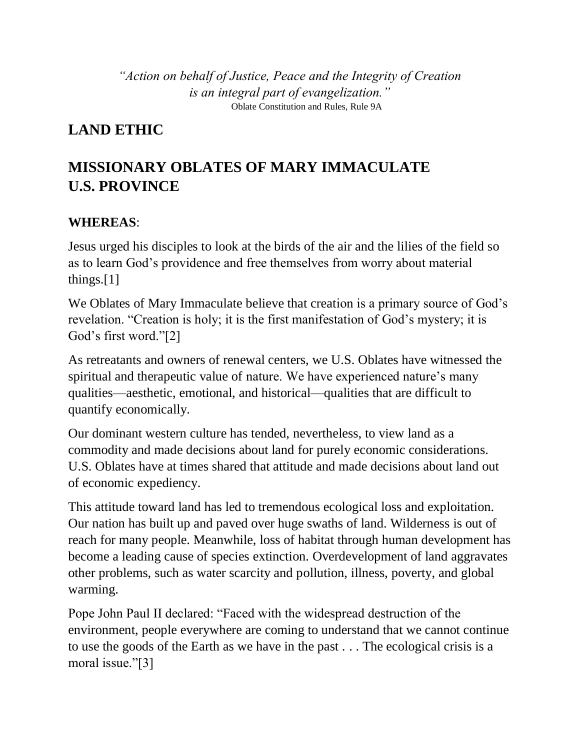*"Action on behalf of Justice, Peace and the Integrity of Creation is an integral part of evangelization."* Oblate Constitution and Rules, Rule 9A

## **LAND ETHIC**

## **MISSIONARY OBLATES OF MARY IMMACULATE U.S. PROVINCE**

## **WHEREAS**:

Jesus urged his disciples to look at the birds of the air and the lilies of the field so as to learn God's providence and free themselves from worry about material things.[1]

We Oblates of Mary Immaculate believe that creation is a primary source of God's revelation. "Creation is holy; it is the first manifestation of God's mystery; it is God's first word."[2]

As retreatants and owners of renewal centers, we U.S. Oblates have witnessed the spiritual and therapeutic value of nature. We have experienced nature's many qualities—aesthetic, emotional, and historical—qualities that are difficult to quantify economically.

Our dominant western culture has tended, nevertheless, to view land as a commodity and made decisions about land for purely economic considerations. U.S. Oblates have at times shared that attitude and made decisions about land out of economic expediency.

This attitude toward land has led to tremendous ecological loss and exploitation. Our nation has built up and paved over huge swaths of land. Wilderness is out of reach for many people. Meanwhile, loss of habitat through human development has become a leading cause of species extinction. Overdevelopment of land aggravates other problems, such as water scarcity and pollution, illness, poverty, and global warming.

Pope John Paul II declared: "Faced with the widespread destruction of the environment, people everywhere are coming to understand that we cannot continue to use the goods of the Earth as we have in the past . . . The ecological crisis is a moral issue."[3]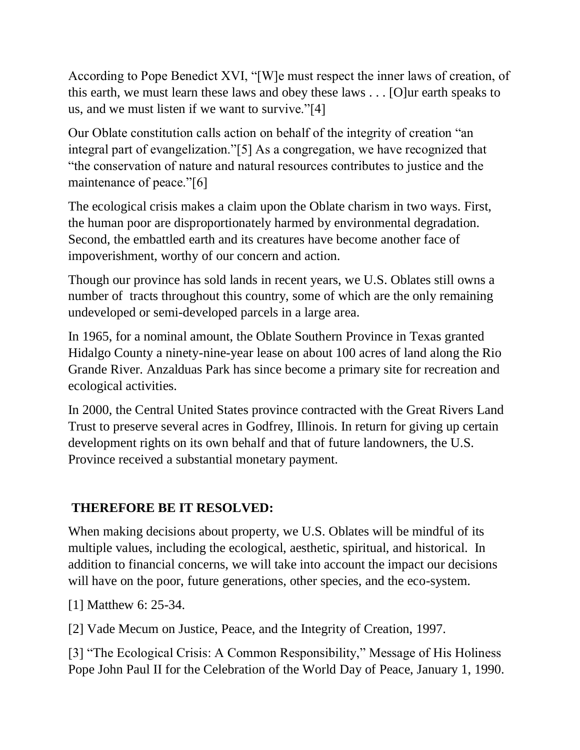According to Pope Benedict XVI, "[W]e must respect the inner laws of creation, of this earth, we must learn these laws and obey these laws . . . [O]ur earth speaks to us, and we must listen if we want to survive."[4]

Our Oblate constitution calls action on behalf of the integrity of creation "an integral part of evangelization."[5] As a congregation, we have recognized that "the conservation of nature and natural resources contributes to justice and the maintenance of peace."[6]

The ecological crisis makes a claim upon the Oblate charism in two ways. First, the human poor are disproportionately harmed by environmental degradation. Second, the embattled earth and its creatures have become another face of impoverishment, worthy of our concern and action.

Though our province has sold lands in recent years, we U.S. Oblates still owns a number of tracts throughout this country, some of which are the only remaining undeveloped or semi-developed parcels in a large area.

In 1965, for a nominal amount, the Oblate Southern Province in Texas granted Hidalgo County a ninety-nine-year lease on about 100 acres of land along the Rio Grande River. Anzalduas Park has since become a primary site for recreation and ecological activities.

In 2000, the Central United States province contracted with the Great Rivers Land Trust to preserve several acres in Godfrey, Illinois. In return for giving up certain development rights on its own behalf and that of future landowners, the U.S. Province received a substantial monetary payment.

## **THEREFORE BE IT RESOLVED:**

When making decisions about property, we U.S. Oblates will be mindful of its multiple values, including the ecological, aesthetic, spiritual, and historical. In addition to financial concerns, we will take into account the impact our decisions will have on the poor, future generations, other species, and the eco-system.

[1] Matthew 6: 25-34.

[2] Vade Mecum on Justice, Peace, and the Integrity of Creation, 1997.

[3] "The Ecological Crisis: A Common Responsibility," Message of His Holiness Pope John Paul II for the Celebration of the World Day of Peace, January 1, 1990.